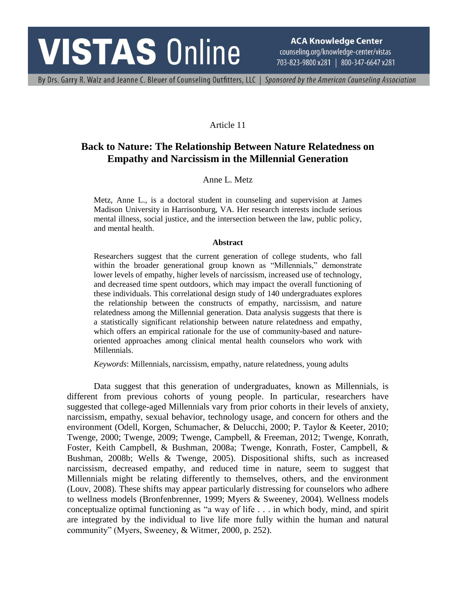# **VISTAS Online**

**ACA Knowledge Center** counseling.org/knowledge-center/vistas 703-823-9800 x281 | 800-347-6647 x281

By Drs. Garry R. Walz and Jeanne C. Bleuer of Counseling Outfitters, LLC | Sponsored by the American Counseling Association

## Article 11

## **Back to Nature: The Relationship Between Nature Relatedness on Empathy and Narcissism in the Millennial Generation**

## Anne L. Metz

Metz, Anne L., is a doctoral student in counseling and supervision at James Madison University in Harrisonburg, VA. Her research interests include serious mental illness, social justice, and the intersection between the law, public policy, and mental health.

#### **Abstract**

Researchers suggest that the current generation of college students, who fall within the broader generational group known as "Millennials," demonstrate lower levels of empathy, higher levels of narcissism, increased use of technology, and decreased time spent outdoors, which may impact the overall functioning of these individuals. This correlational design study of 140 undergraduates explores the relationship between the constructs of empathy, narcissism, and nature relatedness among the Millennial generation. Data analysis suggests that there is a statistically significant relationship between nature relatedness and empathy, which offers an empirical rationale for the use of community-based and natureoriented approaches among clinical mental health counselors who work with Millennials.

*Keywords*: Millennials, narcissism, empathy, nature relatedness, young adults

Data suggest that this generation of undergraduates, known as Millennials, is different from previous cohorts of young people. In particular, researchers have suggested that college-aged Millennials vary from prior cohorts in their levels of anxiety, narcissism, empathy, sexual behavior, technology usage, and concern for others and the environment (Odell, Korgen, Schumacher, & Delucchi, 2000; P. Taylor & Keeter, 2010; Twenge, 2000; Twenge, 2009; Twenge, Campbell, & Freeman, 2012; Twenge, Konrath, Foster, Keith Campbell, & Bushman, 2008a; Twenge, Konrath, Foster, Campbell, & Bushman, 2008b; Wells & Twenge, 2005). Dispositional shifts, such as increased narcissism, decreased empathy, and reduced time in nature, seem to suggest that Millennials might be relating differently to themselves, others, and the environment (Louv, 2008). These shifts may appear particularly distressing for counselors who adhere to wellness models (Bronfenbrenner, 1999; Myers & Sweeney, 2004). Wellness models conceptualize optimal functioning as "a way of life . . . in which body, mind, and spirit are integrated by the individual to live life more fully within the human and natural community" (Myers, Sweeney, & Witmer, 2000, p. 252).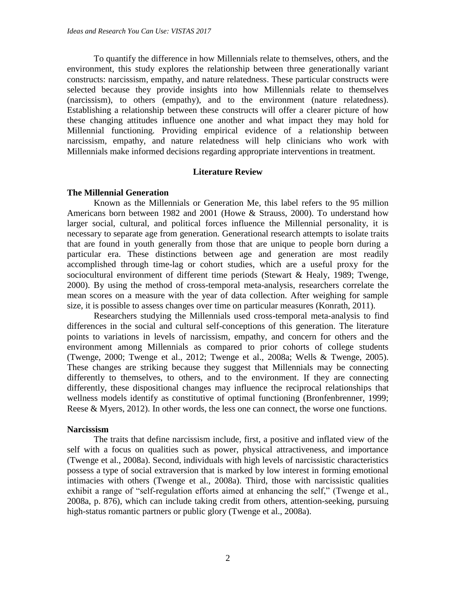To quantify the difference in how Millennials relate to themselves, others, and the environment, this study explores the relationship between three generationally variant constructs: narcissism, empathy, and nature relatedness. These particular constructs were selected because they provide insights into how Millennials relate to themselves (narcissism), to others (empathy), and to the environment (nature relatedness). Establishing a relationship between these constructs will offer a clearer picture of how these changing attitudes influence one another and what impact they may hold for Millennial functioning. Providing empirical evidence of a relationship between narcissism, empathy, and nature relatedness will help clinicians who work with Millennials make informed decisions regarding appropriate interventions in treatment.

## **Literature Review**

## **The Millennial Generation**

Known as the Millennials or Generation Me, this label refers to the 95 million Americans born between 1982 and 2001 (Howe & Strauss, 2000). To understand how larger social, cultural, and political forces influence the Millennial personality, it is necessary to separate age from generation. Generational research attempts to isolate traits that are found in youth generally from those that are unique to people born during a particular era. These distinctions between age and generation are most readily accomplished through time-lag or cohort studies, which are a useful proxy for the sociocultural environment of different time periods (Stewart & Healy, 1989; Twenge, 2000). By using the method of cross-temporal meta-analysis, researchers correlate the mean scores on a measure with the year of data collection. After weighing for sample size, it is possible to assess changes over time on particular measures (Konrath, 2011).

Researchers studying the Millennials used cross-temporal meta-analysis to find differences in the social and cultural self-conceptions of this generation. The literature points to variations in levels of narcissism, empathy, and concern for others and the environment among Millennials as compared to prior cohorts of college students (Twenge, 2000; Twenge et al., 2012; Twenge et al., 2008a; Wells & Twenge, 2005). These changes are striking because they suggest that Millennials may be connecting differently to themselves, to others, and to the environment. If they are connecting differently, these dispositional changes may influence the reciprocal relationships that wellness models identify as constitutive of optimal functioning (Bronfenbrenner, 1999; Reese & Myers, 2012). In other words, the less one can connect, the worse one functions.

## **Narcissism**

The traits that define narcissism include, first, a positive and inflated view of the self with a focus on qualities such as power, physical attractiveness, and importance (Twenge et al., 2008a). Second, individuals with high levels of narcissistic characteristics possess a type of social extraversion that is marked by low interest in forming emotional intimacies with others (Twenge et al., 2008a). Third, those with narcissistic qualities exhibit a range of "self-regulation efforts aimed at enhancing the self," (Twenge et al., 2008a, p. 876), which can include taking credit from others, attention-seeking, pursuing high-status romantic partners or public glory (Twenge et al., 2008a).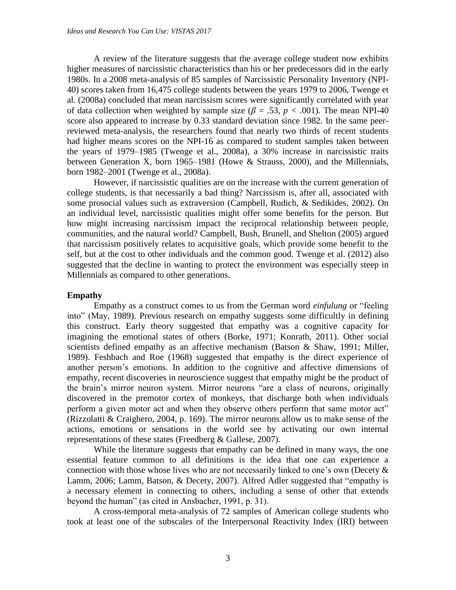A review of the literature suggests that the average college student now exhibits higher measures of narcissistic characteristics than his or her predecessors did in the early 1980s. In a 2008 meta-analysis of 85 samples of Narcissistic Personality Inventory (NPI-40) scores taken from 16,475 college students between the years 1979 to 2006, Twenge et al. (2008a) concluded that mean narcissism scores were significantly correlated with year of data collection when weighted by sample size ( $\beta = .53$ ,  $p < .001$ ). The mean NPI-40 score also appeared to increase by 0.33 standard deviation since 1982. In the same peerreviewed meta-analysis, the researchers found that nearly two thirds of recent students had higher means scores on the NPI-16 as compared to student samples taken between the years of 1979–1985 (Twenge et al., 2008a), a 30% increase in narcissistic traits between Generation X, born 1965–1981 (Howe & Strauss, 2000), and the Millennials, born 1982–2001 (Twenge et al., 2008a).

However, if narcissistic qualities are on the increase with the current generation of college students, is that necessarily a bad thing? Narcissism is, after all, associated with some prosocial values such as extraversion (Campbell, Rudich, & Sedikides, 2002). On an individual level, narcissistic qualities might offer some benefits for the person. But how might increasing narcissism impact the reciprocal relationship between people, communities, and the natural world? Campbell, Bush, Brunell, and Shelton (2005) argued that narcissism positively relates to acquisitive goals, which provide some benefit to the self, but at the cost to other individuals and the common good. Twenge et al. (2012) also suggested that the decline in wanting to protect the environment was especially steep in Millennials as compared to other generations.

#### **Empathy**

Empathy as a construct comes to us from the German word *einfulung* or "feeling into" (May, 1989). Previous research on empathy suggests some difficultly in defining this construct. Early theory suggested that empathy was a cognitive capacity for imagining the emotional states of others (Borke, 1971; Konrath, 2011). Other social scientists defined empathy as an affective mechanism (Batson & Shaw, 1991; Miller, 1989). Feshbach and Roe (1968) suggested that empathy is the direct experience of another person's emotions. In addition to the cognitive and affective dimensions of empathy, recent discoveries in neuroscience suggest that empathy might be the product of the brain's mirror neuron system. Mirror neurons "are a class of neurons, originally discovered in the premotor cortex of monkeys, that discharge both when individuals perform a given motor act and when they observe others perform that same motor act" (Rizzolatti & Craighero, 2004, p. 169). The mirror neurons allow us to make sense of the actions, emotions or sensations in the world see by activating our own internal representations of these states (Freedberg & Gallese, 2007).

While the literature suggests that empathy can be defined in many ways, the one essential feature common to all definitions is the idea that one can experience a connection with those whose lives who are not necessarily linked to one's own (Decety  $\&$ Lamm, 2006; Lamm, Batson, & Decety, 2007). Alfred Adler suggested that "empathy is a necessary element in connecting to others, including a sense of other that extends beyond the human" (as cited in Ansbacher, 1991, p. 31).

A cross-temporal meta-analysis of 72 samples of American college students who took at least one of the subscales of the Interpersonal Reactivity Index (IRI) between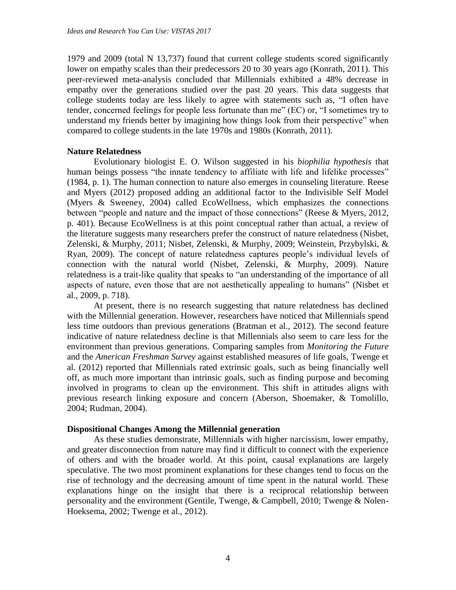1979 and 2009 (total N 13,737) found that current college students scored significantly lower on empathy scales than their predecessors 20 to 30 years ago (Konrath, 2011). This peer-reviewed meta-analysis concluded that Millennials exhibited a 48% decrease in empathy over the generations studied over the past 20 years. This data suggests that college students today are less likely to agree with statements such as, "I often have tender, concerned feelings for people less fortunate than me" (EC) or, "I sometimes try to understand my friends better by imagining how things look from their perspective" when compared to college students in the late 1970s and 1980s (Konrath, 2011).

## **Nature Relatedness**

Evolutionary biologist E. O. Wilson suggested in his *biophilia hypothesis* that human beings possess "the innate tendency to affiliate with life and lifelike processes" (1984, p. 1). The human connection to nature also emerges in counseling literature. Reese and Myers (2012) proposed adding an additional factor to the Indivisible Self Model (Myers & Sweeney, 2004) called EcoWellness, which emphasizes the connections between "people and nature and the impact of those connections" (Reese & Myers, 2012, p. 401). Because EcoWellness is at this point conceptual rather than actual, a review of the literature suggests many researchers prefer the construct of nature relatedness (Nisbet, Zelenski, & Murphy, 2011; Nisbet, Zelenski, & Murphy, 2009; Weinstein, Przybylski, & Ryan, 2009). The concept of nature relatedness captures people's individual levels of connection with the natural world (Nisbet, Zelenski, & Murphy, 2009). Nature relatedness is a trait-like quality that speaks to "an understanding of the importance of all aspects of nature, even those that are not aesthetically appealing to humans" (Nisbet et al., 2009, p. 718).

At present, there is no research suggesting that nature relatedness has declined with the Millennial generation. However, researchers have noticed that Millennials spend less time outdoors than previous generations (Bratman et al., 2012). The second feature indicative of nature relatedness decline is that Millennials also seem to care less for the environment than previous generations. Comparing samples from *Monitoring the Future* and the *American Freshman Survey* against established measures of life goals, Twenge et al. (2012) reported that Millennials rated extrinsic goals, such as being financially well off, as much more important than intrinsic goals, such as finding purpose and becoming involved in programs to clean up the environment. This shift in attitudes aligns with previous research linking exposure and concern (Aberson, Shoemaker, & Tomolillo, 2004; Rudman, 2004).

#### **Dispositional Changes Among the Millennial generation**

As these studies demonstrate, Millennials with higher narcissism, lower empathy, and greater disconnection from nature may find it difficult to connect with the experience of others and with the broader world. At this point, causal explanations are largely speculative. The two most prominent explanations for these changes tend to focus on the rise of technology and the decreasing amount of time spent in the natural world. These explanations hinge on the insight that there is a reciprocal relationship between personality and the environment (Gentile, Twenge, & Campbell, 2010; Twenge & Nolen-Hoeksema, 2002; Twenge et al., 2012).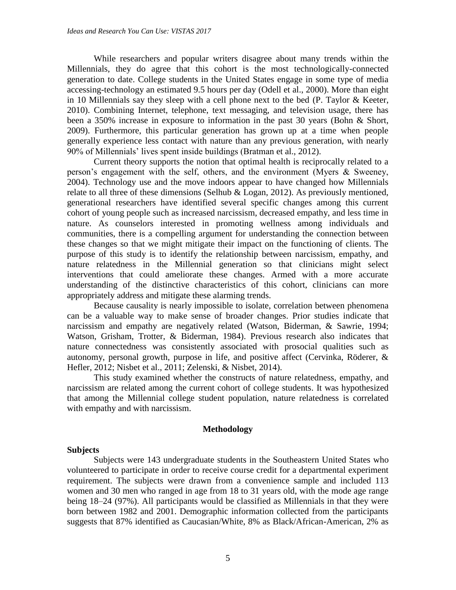While researchers and popular writers disagree about many trends within the Millennials, they do agree that this cohort is the most technologically-connected generation to date. College students in the United States engage in some type of media accessing-technology an estimated 9.5 hours per day (Odell et al., 2000). More than eight in 10 Millennials say they sleep with a cell phone next to the bed (P. Taylor & Keeter, 2010). Combining Internet, telephone, text messaging, and television usage, there has been a 350% increase in exposure to information in the past 30 years (Bohn & Short, 2009). Furthermore, this particular generation has grown up at a time when people generally experience less contact with nature than any previous generation, with nearly 90% of Millennials' lives spent inside buildings (Bratman et al., 2012).

Current theory supports the notion that optimal health is reciprocally related to a person's engagement with the self, others, and the environment (Myers & Sweeney, 2004). Technology use and the move indoors appear to have changed how Millennials relate to all three of these dimensions (Selhub & Logan, 2012). As previously mentioned, generational researchers have identified several specific changes among this current cohort of young people such as increased narcissism, decreased empathy, and less time in nature. As counselors interested in promoting wellness among individuals and communities, there is a compelling argument for understanding the connection between these changes so that we might mitigate their impact on the functioning of clients. The purpose of this study is to identify the relationship between narcissism, empathy, and nature relatedness in the Millennial generation so that clinicians might select interventions that could ameliorate these changes. Armed with a more accurate understanding of the distinctive characteristics of this cohort, clinicians can more appropriately address and mitigate these alarming trends.

Because causality is nearly impossible to isolate, correlation between phenomena can be a valuable way to make sense of broader changes. Prior studies indicate that narcissism and empathy are negatively related (Watson, Biderman, & Sawrie, 1994; Watson, Grisham, Trotter, & Biderman, 1984). Previous research also indicates that nature connectedness was consistently associated with prosocial qualities such as autonomy, personal growth, purpose in life, and positive affect (Cervinka, Röderer, & Hefler, 2012; Nisbet et al., 2011; Zelenski, & Nisbet, 2014).

This study examined whether the constructs of nature relatedness, empathy, and narcissism are related among the current cohort of college students. It was hypothesized that among the Millennial college student population, nature relatedness is correlated with empathy and with narcissism.

## **Methodology**

## **Subjects**

Subjects were 143 undergraduate students in the Southeastern United States who volunteered to participate in order to receive course credit for a departmental experiment requirement. The subjects were drawn from a convenience sample and included 113 women and 30 men who ranged in age from 18 to 31 years old, with the mode age range being 18–24 (97%). All participants would be classified as Millennials in that they were born between 1982 and 2001. Demographic information collected from the participants suggests that 87% identified as Caucasian/White, 8% as Black/African-American, 2% as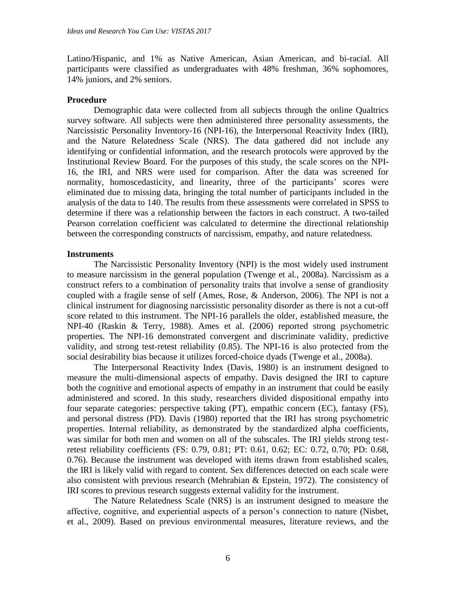Latino/Hispanic, and 1% as Native American, Asian American, and bi-racial. All participants were classified as undergraduates with 48% freshman, 36% sophomores, 14% juniors, and 2% seniors.

#### **Procedure**

Demographic data were collected from all subjects through the online Qualtrics survey software. All subjects were then administered three personality assessments, the Narcissistic Personality Inventory-16 (NPI-16), the Interpersonal Reactivity Index (IRI), and the Nature Relatedness Scale (NRS). The data gathered did not include any identifying or confidential information, and the research protocols were approved by the Institutional Review Board. For the purposes of this study, the scale scores on the NPI-16, the IRI, and NRS were used for comparison. After the data was screened for normality, homoscedasticity, and linearity, three of the participants' scores were eliminated due to missing data, bringing the total number of participants included in the analysis of the data to 140. The results from these assessments were correlated in SPSS to determine if there was a relationship between the factors in each construct. A two-tailed Pearson correlation coefficient was calculated to determine the directional relationship between the corresponding constructs of narcissism, empathy, and nature relatedness.

#### **Instruments**

The Narcissistic Personality Inventory (NPI) is the most widely used instrument to measure narcissism in the general population (Twenge et al., 2008a). Narcissism as a construct refers to a combination of personality traits that involve a sense of grandiosity coupled with a fragile sense of self (Ames, Rose, & Anderson, 2006). The NPI is not a clinical instrument for diagnosing narcissistic personality disorder as there is not a cut-off score related to this instrument. The NPI-16 parallels the older, established measure, the NPI-40 (Raskin & Terry, 1988). Ames et al. (2006) reported strong psychometric properties. The NPI-16 demonstrated convergent and discriminate validity, predictive validity, and strong test-retest reliability (0.85). The NPI-16 is also protected from the social desirability bias because it utilizes forced-choice dyads (Twenge et al., 2008a).

The Interpersonal Reactivity Index (Davis, 1980) is an instrument designed to measure the multi-dimensional aspects of empathy. Davis designed the IRI to capture both the cognitive and emotional aspects of empathy in an instrument that could be easily administered and scored. In this study, researchers divided dispositional empathy into four separate categories: perspective taking (PT), empathic concern (EC), fantasy (FS), and personal distress (PD). Davis (1980) reported that the IRI has strong psychometric properties. Internal reliability, as demonstrated by the standardized alpha coefficients, was similar for both men and women on all of the subscales. The IRI yields strong testretest reliability coefficients (FS: 0.79, 0.81; PT: 0.61, 0.62; EC: 0.72, 0.70; PD: 0.68, 0.76). Because the instrument was developed with items drawn from established scales, the IRI is likely valid with regard to content. Sex differences detected on each scale were also consistent with previous research (Mehrabian & Epstein, 1972). The consistency of IRI scores to previous research suggests external validity for the instrument.

The Nature Relatedness Scale (NRS) is an instrument designed to measure the affective, cognitive, and experiential aspects of a person's connection to nature (Nisbet, et al., 2009). Based on previous environmental measures, literature reviews, and the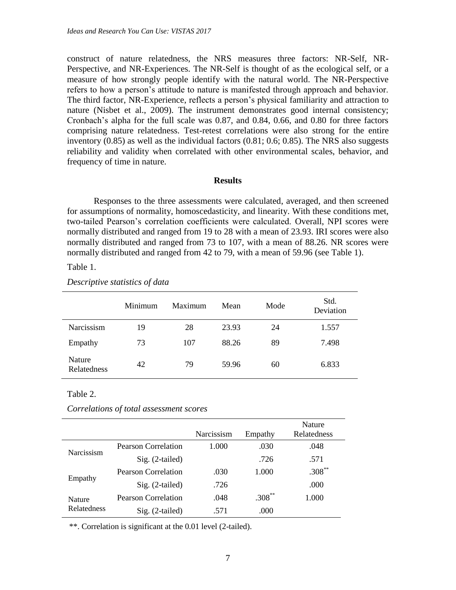construct of nature relatedness, the NRS measures three factors: NR-Self, NR-Perspective, and NR-Experiences. The NR-Self is thought of as the ecological self, or a measure of how strongly people identify with the natural world. The NR-Perspective refers to how a person's attitude to nature is manifested through approach and behavior. The third factor, NR-Experience, reflects a person's physical familiarity and attraction to nature (Nisbet et al., 2009). The instrument demonstrates good internal consistency; Cronbach's alpha for the full scale was 0.87, and 0.84, 0.66, and 0.80 for three factors comprising nature relatedness. Test-retest correlations were also strong for the entire inventory (0.85) as well as the individual factors (0.81; 0.6; 0.85). The NRS also suggests reliability and validity when correlated with other environmental scales, behavior, and frequency of time in nature.

#### **Results**

Responses to the three assessments were calculated, averaged, and then screened for assumptions of normality, homoscedasticity, and linearity. With these conditions met, two-tailed Pearson's correlation coefficients were calculated. Overall, NPI scores were normally distributed and ranged from 19 to 28 with a mean of 23.93. IRI scores were also normally distributed and ranged from 73 to 107, with a mean of 88.26. NR scores were normally distributed and ranged from 42 to 79, with a mean of 59.96 (see Table 1).

#### Table 1.

#### *Descriptive statistics of data*

|                       | Minimum | Maximum | Mean  | Mode | Std.<br>Deviation |
|-----------------------|---------|---------|-------|------|-------------------|
| Narcissism            | 19      | 28      | 23.93 | 24   | 1.557             |
| Empathy               | 73      | 107     | 88.26 | 89   | 7.498             |
| Nature<br>Relatedness | 42      | 79      | 59.96 | 60   | 6.833             |

#### Table 2.

*Correlations of total assessment scores*

|                                     |                            | Narcissism | Empathy   | Nature<br>Relatedness |
|-------------------------------------|----------------------------|------------|-----------|-----------------------|
| Narcissism                          | Pearson Correlation        | 1.000      | .030      | .048                  |
|                                     | Sig. (2-tailed)            |            | .726      | .571                  |
| Empathy                             | Pearson Correlation        | .030       | 1.000     | $.308**$              |
|                                     | Sig. (2-tailed)            | .726       |           | .000                  |
| <b>Nature</b><br><b>Relatedness</b> | <b>Pearson Correlation</b> | .048       | $.308***$ | 1.000                 |
|                                     | $Sig. (2-tailed)$          | .571       | .000      |                       |

\*\*. Correlation is significant at the 0.01 level (2-tailed).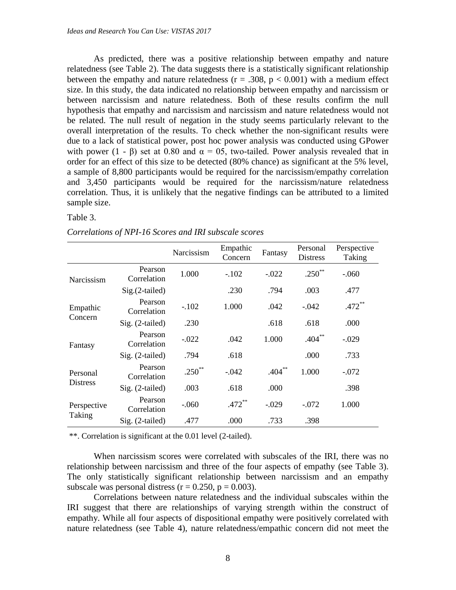As predicted, there was a positive relationship between empathy and nature relatedness (see Table 2). The data suggests there is a statistically significant relationship between the empathy and nature relatedness ( $r = .308$ ,  $p < 0.001$ ) with a medium effect size. In this study, the data indicated no relationship between empathy and narcissism or between narcissism and nature relatedness. Both of these results confirm the null hypothesis that empathy and narcissism and narcissism and nature relatedness would not be related. The null result of negation in the study seems particularly relevant to the overall interpretation of the results. To check whether the non-significant results were due to a lack of statistical power, post hoc power analysis was conducted using GPower with power (1 -  $\beta$ ) set at 0.80 and  $\alpha = 0.5$ , two-tailed. Power analysis revealed that in order for an effect of this size to be detected (80% chance) as significant at the 5% level, a sample of 8,800 participants would be required for the narcissism/empathy correlation and 3,450 participants would be required for the narcissism/nature relatedness correlation. Thus, it is unlikely that the negative findings can be attributed to a limited sample size.

### Table 3.

| Correlations of NPI-16 Scores and IRI subscale scores |  |  |  |
|-------------------------------------------------------|--|--|--|
|                                                       |  |  |  |

|                             |                        | Narcissism  | Empathic<br>Concern | Fantasy   | Personal<br><b>Distress</b> | Perspective<br>Taking |
|-----------------------------|------------------------|-------------|---------------------|-----------|-----------------------------|-----------------------|
| Narcissism                  | Pearson<br>Correlation | 1.000       | $-.102$             | $-.022$   | $.250^{**}$                 | $-.060$               |
|                             | Sig.(2-tailed)         |             | .230                | .794      | .003                        | .477                  |
| Empathic<br>Concern         | Pearson<br>Correlation | $-.102$     | 1.000               | .042      | $-.042$                     | $.472**$              |
|                             | Sig. (2-tailed)        | .230        |                     | .618      | .618                        | .000                  |
| Fantasy                     | Pearson<br>Correlation | $-.022$     | .042                | 1.000     | $.404***$                   | $-.029$               |
|                             | Sig. (2-tailed)        | .794        | .618                |           | .000                        | .733                  |
| Personal<br><b>Distress</b> | Pearson<br>Correlation | $.250^{**}$ | $-.042$             | $.404***$ | 1.000                       | $-.072$               |
|                             | Sig. (2-tailed)        | .003        | .618                | .000      |                             | .398                  |
| Perspective<br>Taking       | Pearson<br>Correlation | $-.060$     | $.472$ **           | $-.029$   | $-.072$                     | 1.000                 |
|                             | Sig. (2-tailed)        | .477        | .000                | .733      | .398                        |                       |

\*\*. Correlation is significant at the 0.01 level (2-tailed).

When narcissism scores were correlated with subscales of the IRI, there was no relationship between narcissism and three of the four aspects of empathy (see Table 3). The only statistically significant relationship between narcissism and an empathy subscale was personal distress ( $r = 0.250$ ,  $p = 0.003$ ).

Correlations between nature relatedness and the individual subscales within the IRI suggest that there are relationships of varying strength within the construct of empathy. While all four aspects of dispositional empathy were positively correlated with nature relatedness (see Table 4), nature relatedness/empathic concern did not meet the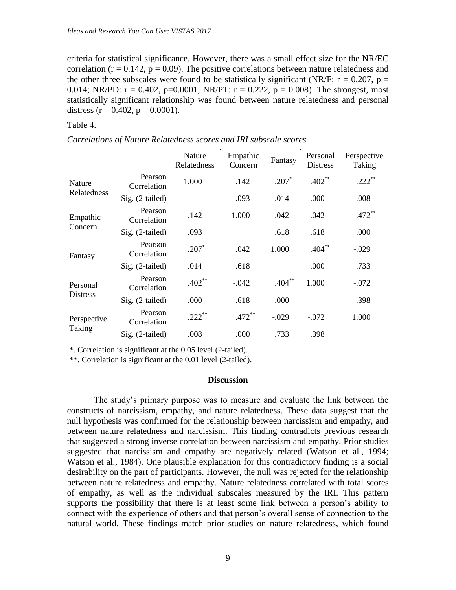criteria for statistical significance. However, there was a small effect size for the NR/EC correlation ( $r = 0.142$ ,  $p = 0.09$ ). The positive correlations between nature relatedness and the other three subscales were found to be statistically significant (NR/F:  $r = 0.207$ ,  $p =$ 0.014; NR/PD:  $r = 0.402$ , p=0.0001; NR/PT:  $r = 0.222$ , p = 0.008). The strongest, most statistically significant relationship was found between nature relatedness and personal distress  $(r = 0.402, p = 0.0001)$ .

Table 4.

|  |  | Correlations of Nature Relatedness scores and IRI subscale scores |
|--|--|-------------------------------------------------------------------|
|--|--|-------------------------------------------------------------------|

|                             |                        | Nature<br>Relatedness | Empathic<br>Concern | Fantasy   | Personal<br><b>Distress</b> | Perspective<br>Taking |
|-----------------------------|------------------------|-----------------------|---------------------|-----------|-----------------------------|-----------------------|
| <b>Nature</b>               | Pearson<br>Correlation | 1.000                 | .142                | $.207*$   | $.402**$                    | $.222$ **             |
| Relatedness                 | Sig. (2-tailed)        |                       | .093                | .014      | .000                        | .008                  |
| Empathic<br>Concern         | Pearson<br>Correlation | .142                  | 1.000               | .042      | $-.042$                     | $.472$ **             |
|                             | Sig. (2-tailed)        | .093                  |                     | .618      | .618                        | .000                  |
| Fantasy                     | Pearson<br>Correlation | $.207*$               | .042                | 1.000     | $.404**$                    | $-.029$               |
|                             | Sig. (2-tailed)        | .014                  | .618                |           | .000                        | .733                  |
| Personal<br><b>Distress</b> | Pearson<br>Correlation | $.402**$              | $-.042$             | $.404***$ | 1.000                       | $-.072$               |
|                             | Sig. (2-tailed)        | .000                  | .618                | .000      |                             | .398                  |
| Perspective<br>Taking       | Pearson<br>Correlation | $.222$ **             | $.472**$            | $-.029$   | $-.072$                     | 1.000                 |
|                             | Sig. (2-tailed)        | .008                  | .000                | .733      | .398                        |                       |

\*. Correlation is significant at the 0.05 level (2-tailed).

\*\*. Correlation is significant at the 0.01 level (2-tailed).

#### **Discussion**

The study's primary purpose was to measure and evaluate the link between the constructs of narcissism, empathy, and nature relatedness. These data suggest that the null hypothesis was confirmed for the relationship between narcissism and empathy, and between nature relatedness and narcissism. This finding contradicts previous research that suggested a strong inverse correlation between narcissism and empathy. Prior studies suggested that narcissism and empathy are negatively related (Watson et al., 1994; Watson et al., 1984). One plausible explanation for this contradictory finding is a social desirability on the part of participants. However, the null was rejected for the relationship between nature relatedness and empathy. Nature relatedness correlated with total scores of empathy, as well as the individual subscales measured by the IRI. This pattern supports the possibility that there is at least some link between a person's ability to connect with the experience of others and that person's overall sense of connection to the natural world. These findings match prior studies on nature relatedness, which found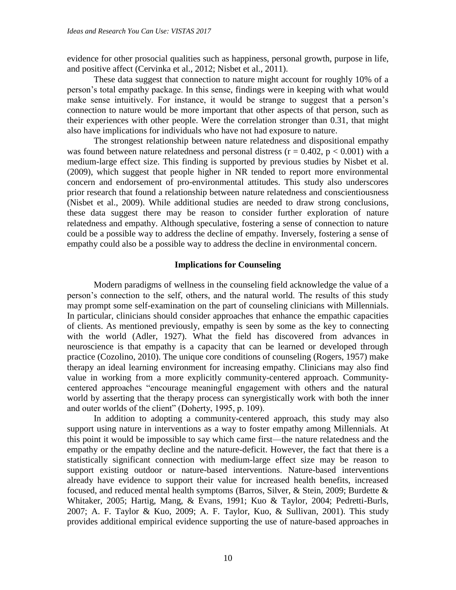evidence for other prosocial qualities such as happiness, personal growth, purpose in life, and positive affect (Cervinka et al., 2012; Nisbet et al., 2011).

These data suggest that connection to nature might account for roughly 10% of a person's total empathy package. In this sense, findings were in keeping with what would make sense intuitively. For instance, it would be strange to suggest that a person's connection to nature would be more important that other aspects of that person, such as their experiences with other people. Were the correlation stronger than 0.31, that might also have implications for individuals who have not had exposure to nature.

The strongest relationship between nature relatedness and dispositional empathy was found between nature relatedness and personal distress ( $r = 0.402$ ,  $p < 0.001$ ) with a medium-large effect size. This finding is supported by previous studies by Nisbet et al. (2009), which suggest that people higher in NR tended to report more environmental concern and endorsement of pro-environmental attitudes. This study also underscores prior research that found a relationship between nature relatedness and conscientiousness (Nisbet et al., 2009). While additional studies are needed to draw strong conclusions, these data suggest there may be reason to consider further exploration of nature relatedness and empathy. Although speculative, fostering a sense of connection to nature could be a possible way to address the decline of empathy. Inversely, fostering a sense of empathy could also be a possible way to address the decline in environmental concern.

#### **Implications for Counseling**

Modern paradigms of wellness in the counseling field acknowledge the value of a person's connection to the self, others, and the natural world. The results of this study may prompt some self-examination on the part of counseling clinicians with Millennials. In particular, clinicians should consider approaches that enhance the empathic capacities of clients. As mentioned previously, empathy is seen by some as the key to connecting with the world (Adler, 1927). What the field has discovered from advances in neuroscience is that empathy is a capacity that can be learned or developed through practice (Cozolino, 2010). The unique core conditions of counseling (Rogers, 1957) make therapy an ideal learning environment for increasing empathy. Clinicians may also find value in working from a more explicitly community-centered approach. Communitycentered approaches "encourage meaningful engagement with others and the natural world by asserting that the therapy process can synergistically work with both the inner and outer worlds of the client" (Doherty, 1995, p. 109).

In addition to adopting a community-centered approach, this study may also support using nature in interventions as a way to foster empathy among Millennials. At this point it would be impossible to say which came first—the nature relatedness and the empathy or the empathy decline and the nature-deficit. However, the fact that there is a statistically significant connection with medium-large effect size may be reason to support existing outdoor or nature-based interventions. Nature-based interventions already have evidence to support their value for increased health benefits, increased focused, and reduced mental health symptoms (Barros, Silver, & Stein, 2009; Burdette & Whitaker, 2005; Hartig, Mang, & Evans, 1991; Kuo & Taylor, 2004; Pedretti-Burls, 2007; A. F. Taylor & Kuo, 2009; A. F. Taylor, Kuo, & Sullivan, 2001). This study provides additional empirical evidence supporting the use of nature-based approaches in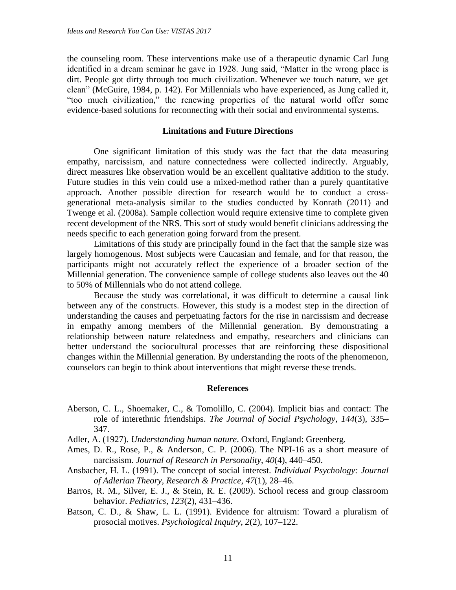the counseling room. These interventions make use of a therapeutic dynamic Carl Jung identified in a dream seminar he gave in 1928. Jung said, "Matter in the wrong place is dirt. People got dirty through too much civilization. Whenever we touch nature, we get clean" (McGuire, 1984, p. 142). For Millennials who have experienced, as Jung called it, "too much civilization," the renewing properties of the natural world offer some evidence-based solutions for reconnecting with their social and environmental systems.

## **Limitations and Future Directions**

One significant limitation of this study was the fact that the data measuring empathy, narcissism, and nature connectedness were collected indirectly. Arguably, direct measures like observation would be an excellent qualitative addition to the study. Future studies in this vein could use a mixed-method rather than a purely quantitative approach. Another possible direction for research would be to conduct a crossgenerational meta-analysis similar to the studies conducted by Konrath (2011) and Twenge et al. (2008a). Sample collection would require extensive time to complete given recent development of the NRS. This sort of study would benefit clinicians addressing the needs specific to each generation going forward from the present.

Limitations of this study are principally found in the fact that the sample size was largely homogenous. Most subjects were Caucasian and female, and for that reason, the participants might not accurately reflect the experience of a broader section of the Millennial generation. The convenience sample of college students also leaves out the 40 to 50% of Millennials who do not attend college.

Because the study was correlational, it was difficult to determine a causal link between any of the constructs. However, this study is a modest step in the direction of understanding the causes and perpetuating factors for the rise in narcissism and decrease in empathy among members of the Millennial generation. By demonstrating a relationship between nature relatedness and empathy, researchers and clinicians can better understand the sociocultural processes that are reinforcing these dispositional changes within the Millennial generation. By understanding the roots of the phenomenon, counselors can begin to think about interventions that might reverse these trends.

#### **References**

- Aberson, C. L., Shoemaker, C., & Tomolillo, C. (2004). Implicit bias and contact: The role of interethnic friendships. *The Journal of Social Psychology*, *144*(3), 335– 347.
- Adler, A. (1927). *Understanding human nature*. Oxford, England: Greenberg.
- Ames, D. R., Rose, P., & Anderson, C. P. (2006). The NPI-16 as a short measure of narcissism. *Journal of Research in Personality*, *40*(4), 440–450.
- Ansbacher, H. L. (1991). The concept of social interest. *Individual Psychology: Journal of Adlerian Theory, Research & Practice*, *47*(1), 28–46.
- Barros, R. M., Silver, E. J., & Stein, R. E. (2009). School recess and group classroom behavior. *Pediatrics*, *123*(2), 431–436.
- Batson, C. D., & Shaw, L. L. (1991). Evidence for altruism: Toward a pluralism of prosocial motives. *Psychological Inquiry*, *2*(2), 107–122.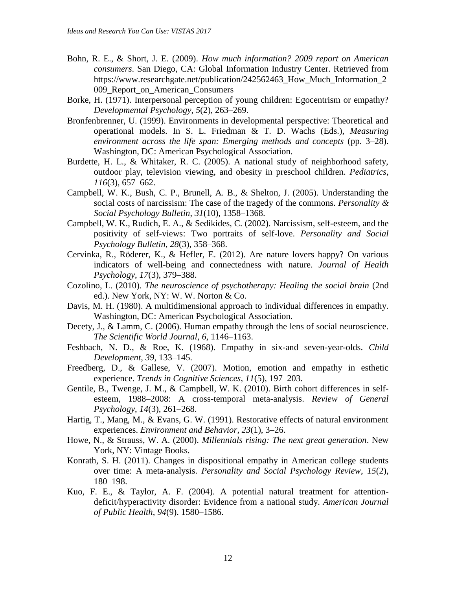- Bohn, R. E., & Short, J. E. (2009). *How much information? 2009 report on American consumers*. San Diego, CA: Global Information Industry Center. Retrieved from https://www.researchgate.net/publication/242562463\_How\_Much\_Information\_2 009\_Report\_on\_American\_Consumers
- Borke, H. (1971). Interpersonal perception of young children: Egocentrism or empathy? *Developmental Psychology*, *5*(2), 263–269.
- Bronfenbrenner, U. (1999). Environments in developmental perspective: Theoretical and operational models. In S. L. Friedman & T. D. Wachs (Eds.), *Measuring environment across the life span: Emerging methods and concepts* (pp. 3–28). Washington, DC: American Psychological Association.
- Burdette, H. L., & Whitaker, R. C. (2005). A national study of neighborhood safety, outdoor play, television viewing, and obesity in preschool children. *Pediatrics*, *116*(3), 657–662.
- Campbell, W. K., Bush, C. P., Brunell, A. B., & Shelton, J. (2005). Understanding the social costs of narcissism: The case of the tragedy of the commons. *Personality & Social Psychology Bulletin*, *31*(10), 1358–1368.
- Campbell, W. K., Rudich, E. A., & Sedikides, C. (2002). Narcissism, self-esteem, and the positivity of self-views: Two portraits of self-love. *Personality and Social Psychology Bulletin*, *28*(3), 358–368.
- Cervinka, R., Röderer, K., & Hefler, E. (2012). Are nature lovers happy? On various indicators of well-being and connectedness with nature. *Journal of Health Psychology*, *17*(3), 379–388.
- Cozolino, L. (2010). *The neuroscience of psychotherapy: Healing the social brain* (2nd ed.). New York, NY: W. W. Norton & Co.
- Davis, M. H. (1980). A multidimensional approach to individual differences in empathy. Washington, DC: American Psychological Association.
- Decety, J., & Lamm, C. (2006). Human empathy through the lens of social neuroscience. *The Scientific World Journal*, *6*, 1146–1163.
- Feshbach, N. D., & Roe, K. (1968). Empathy in six-and seven-year-olds. *Child Development*, *39*, 133–145.
- Freedberg, D., & Gallese, V. (2007). Motion, emotion and empathy in esthetic experience. *Trends in Cognitive Sciences*, *11*(5), 197–203.
- Gentile, B., Twenge, J. M., & Campbell, W. K. (2010). Birth cohort differences in selfesteem, 1988–2008: A cross-temporal meta-analysis. *Review of General Psychology*, *14*(3), 261–268.
- Hartig, T., Mang, M., & Evans, G. W. (1991). Restorative effects of natural environment experiences. *Environment and Behavior*, *23*(1), 3–26.
- Howe, N., & Strauss, W. A. (2000). *Millennials rising: The next great generation*. New York, NY: Vintage Books.
- Konrath, S. H. (2011). Changes in dispositional empathy in American college students over time: A meta-analysis. *Personality and Social Psychology Review*, *15*(2), 180–198.
- Kuo, F. E., & Taylor, A. F. (2004). A potential natural treatment for attentiondeficit/hyperactivity disorder: Evidence from a national study. *American Journal of Public Health*, *94*(9). 1580–1586.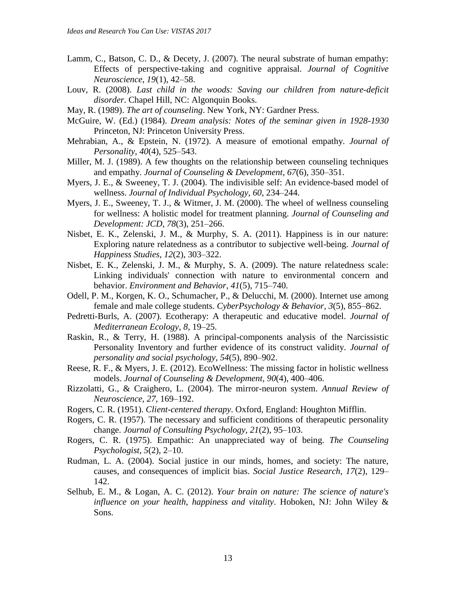- Lamm, C., Batson, C. D., & Decety, J. (2007). The neural substrate of human empathy: Effects of perspective-taking and cognitive appraisal. *Journal of Cognitive Neuroscience*, *19*(1), 42–58.
- Louv, R. (2008). *Last child in the woods: Saving our children from nature-deficit disorder*. Chapel Hill, NC: Algonquin Books.
- May, R. (1989). *The art of counseling*. New York, NY: Gardner Press.
- McGuire, W. (Ed.) (1984). *Dream analysis: Notes of the seminar given in 1928-1930* Princeton, NJ: Princeton University Press.
- Mehrabian, A., & Epstein, N. (1972). A measure of emotional empathy. *Journal of Personality*, *40*(4), 525–543.
- Miller, M. J. (1989). A few thoughts on the relationship between counseling techniques and empathy. *Journal of Counseling & Development*, *67*(6), 350–351.
- Myers, J. E., & Sweeney, T. J. (2004). The indivisible self: An evidence-based model of wellness. *Journal of Individual Psychology*, *60*, 234–244.
- Myers, J. E., Sweeney, T. J., & Witmer, J. M. (2000). The wheel of wellness counseling for wellness: A holistic model for treatment planning. *Journal of Counseling and Development: JCD*, *78*(3), 251–266.
- Nisbet, E. K., Zelenski, J. M., & Murphy, S. A. (2011). Happiness is in our nature: Exploring nature relatedness as a contributor to subjective well-being. *Journal of Happiness Studies*, *12*(2), 303–322.
- Nisbet, E. K., Zelenski, J. M., & Murphy, S. A. (2009). The nature relatedness scale: Linking individuals' connection with nature to environmental concern and behavior. *Environment and Behavior*, *41*(5), 715–740.
- Odell, P. M., Korgen, K. O., Schumacher, P., & Delucchi, M. (2000). Internet use among female and male college students. *CyberPsychology & Behavior*, *3*(5), 855–862.
- Pedretti-Burls, A. (2007). Ecotherapy: A therapeutic and educative model. *Journal of Mediterranean Ecology*, *8*, 19–25.
- Raskin, R., & Terry, H. (1988). A principal-components analysis of the Narcissistic Personality Inventory and further evidence of its construct validity. *Journal of personality and social psychology*, *54*(5), 890–902.
- Reese, R. F., & Myers, J. E. (2012). EcoWellness: The missing factor in holistic wellness models. *Journal of Counseling & Development*, *90*(4), 400–406.
- Rizzolatti, G., & Craighero, L. (2004). The mirror-neuron system. *Annual Review of Neuroscience*, *27*, 169–192.
- Rogers, C. R. (1951). *Client-centered therapy*. Oxford, England: Houghton Mifflin.
- Rogers, C. R. (1957). The necessary and sufficient conditions of therapeutic personality change. *Journal of Consulting Psychology*, *21*(2), 95–103.
- Rogers, C. R. (1975). Empathic: An unappreciated way of being. *The Counseling Psychologist*, *5*(2), 2–10.
- Rudman, L. A. (2004). Social justice in our minds, homes, and society: The nature, causes, and consequences of implicit bias. *Social Justice Research*, *17*(2), 129– 142.
- Selhub, E. M., & Logan, A. C. (2012). *Your brain on nature: The science of nature's influence on your health, happiness and vitality*. Hoboken, NJ: John Wiley & Sons.